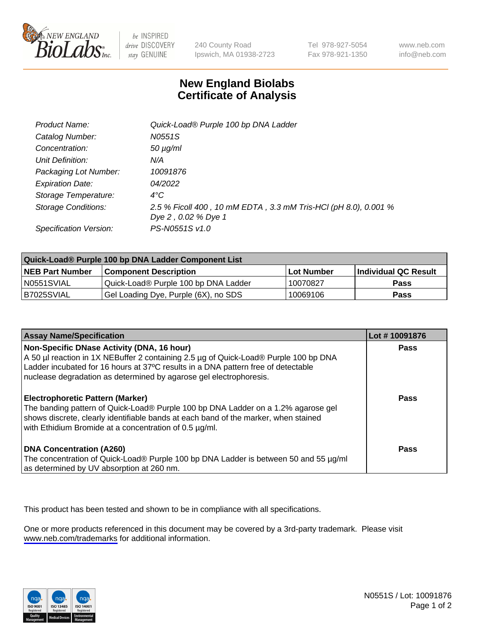

be INSPIRED drive DISCOVERY stay GENUINE

240 County Road Ipswich, MA 01938-2723 Tel 978-927-5054 Fax 978-921-1350

www.neb.com info@neb.com

## **New England Biolabs Certificate of Analysis**

| Product Name:           | Quick-Load® Purple 100 bp DNA Ladder                            |
|-------------------------|-----------------------------------------------------------------|
| Catalog Number:         | N0551S                                                          |
| Concentration:          | $50 \mu g/ml$                                                   |
| Unit Definition:        | N/A                                                             |
| Packaging Lot Number:   | 10091876                                                        |
| <b>Expiration Date:</b> | 04/2022                                                         |
| Storage Temperature:    | $4^{\circ}$ C                                                   |
| Storage Conditions:     | 2.5 % Ficoll 400, 10 mM EDTA, 3.3 mM Tris-HCl (pH 8.0), 0.001 % |
|                         | Dye 2, 0.02 % Dye 1                                             |
| Specification Version:  | PS-N0551S v1.0                                                  |

| Quick-Load® Purple 100 bp DNA Ladder Component List |                                      |              |                      |  |
|-----------------------------------------------------|--------------------------------------|--------------|----------------------|--|
| <b>NEB Part Number</b>                              | <b>Component Description</b>         | l Lot Number | Individual QC Result |  |
| N0551SVIAL                                          | Quick-Load® Purple 100 bp DNA Ladder | 10070827     | <b>Pass</b>          |  |
| B7025SVIAL                                          | Gel Loading Dye, Purple (6X), no SDS | 10069106     | <b>Pass</b>          |  |

| <b>Assay Name/Specification</b>                                                                                                                                                                                                                                                               | Lot #10091876 |
|-----------------------------------------------------------------------------------------------------------------------------------------------------------------------------------------------------------------------------------------------------------------------------------------------|---------------|
| Non-Specific DNase Activity (DNA, 16 hour)<br>A 50 µl reaction in 1X NEBuffer 2 containing 2.5 µg of Quick-Load® Purple 100 bp DNA<br>Ladder incubated for 16 hours at 37°C results in a DNA pattern free of detectable<br>nuclease degradation as determined by agarose gel electrophoresis. | <b>Pass</b>   |
| <b>Electrophoretic Pattern (Marker)</b><br>The banding pattern of Quick-Load® Purple 100 bp DNA Ladder on a 1.2% agarose gel<br>shows discrete, clearly identifiable bands at each band of the marker, when stained<br>with Ethidium Bromide at a concentration of 0.5 µg/ml.                 | Pass          |
| <b>DNA Concentration (A260)</b><br>The concentration of Quick-Load® Purple 100 bp DNA Ladder is between 50 and 55 µg/ml<br>as determined by UV absorption at 260 nm.                                                                                                                          | Pass          |

This product has been tested and shown to be in compliance with all specifications.

One or more products referenced in this document may be covered by a 3rd-party trademark. Please visit <www.neb.com/trademarks>for additional information.